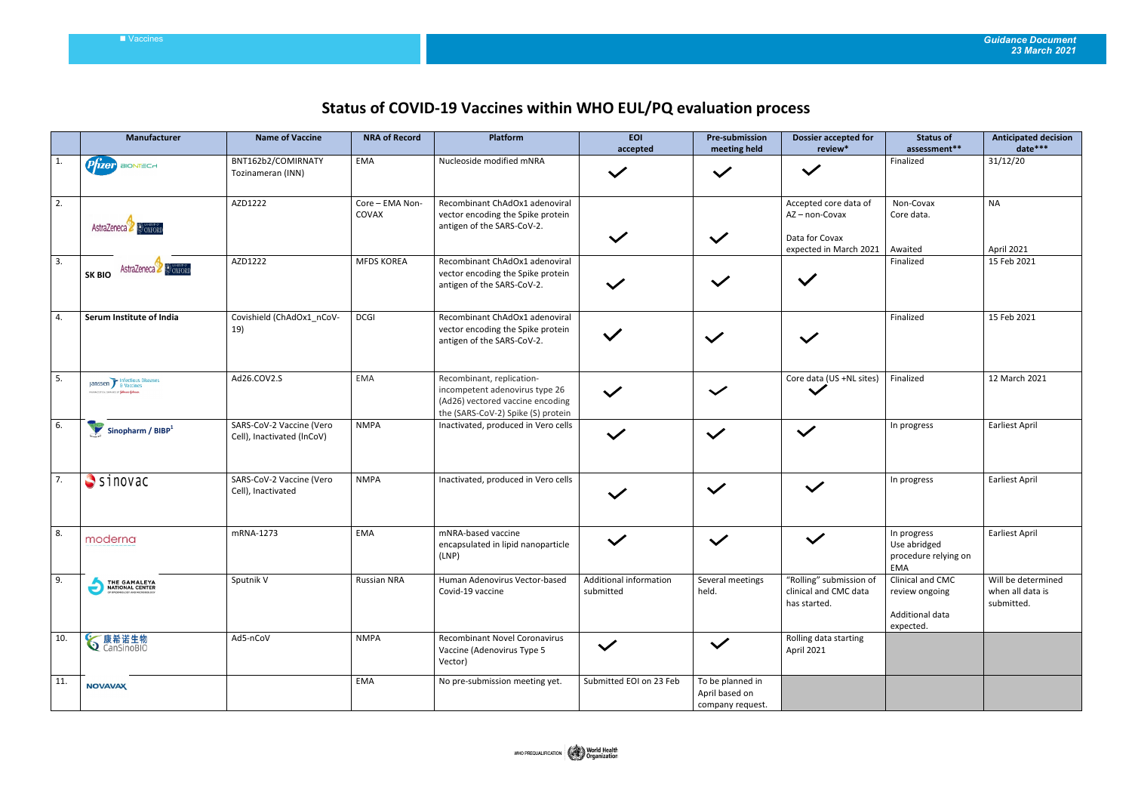## **Status of COVID-19 Vaccines within WHO EUL/PQ evaluation process**

|     | Manufacturer                                                                       | <b>Name of Vaccine</b>                                 | <b>NRA of Record</b>     | Platform                                                                                                                              | <b>EOI</b><br>accepted              | <b>Pre-submission</b><br>meeting held                  | <b>Dossier accepted for</b><br>review*                                            | <b>Status of</b><br>assessment**                                   | <b>Anticipated decision</b><br>date***               |
|-----|------------------------------------------------------------------------------------|--------------------------------------------------------|--------------------------|---------------------------------------------------------------------------------------------------------------------------------------|-------------------------------------|--------------------------------------------------------|-----------------------------------------------------------------------------------|--------------------------------------------------------------------|------------------------------------------------------|
|     | <b>P</b> rzer<br>BIONTECH                                                          | BNT162b2/COMIRNATY<br>Tozinameran (INN)                | <b>EMA</b>               | Nucleoside modified mNRA                                                                                                              | $\checkmark$                        | $\checkmark$                                           | $\checkmark$                                                                      | Finalized                                                          | 31/12/20                                             |
| 2.  | AstraZeneca & OXFORD                                                               | AZD1222                                                | Core - EMA Non-<br>COVAX | Recombinant ChAdOx1 adenoviral<br>vector encoding the Spike protein<br>antigen of the SARS-CoV-2.                                     | $\checkmark$                        | $\checkmark$                                           | Accepted core data of<br>AZ-non-Covax<br>Data for Covax<br>expected in March 2021 | Non-Covax<br>Core data.<br>Awaited                                 | <b>NA</b><br>April 2021                              |
| 3.  | AstraZeneca & OXFORD<br><b>SK BIO</b>                                              | AZD1222                                                | <b>MFDS KOREA</b>        | Recombinant ChAdOx1 adenoviral<br>vector encoding the Spike protein<br>antigen of the SARS-CoV-2.                                     | $\checkmark$                        | $\checkmark$                                           | $\checkmark$                                                                      | Finalized                                                          | 15 Feb 2021                                          |
| 4.  | Serum Institute of India                                                           | Covishield (ChAdOx1 nCoV-<br>19)                       | <b>DCGI</b>              | Recombinant ChAdOx1 adenoviral<br>vector encoding the Spike protein<br>antigen of the SARS-CoV-2.                                     |                                     | $\checkmark$                                           | $\checkmark$                                                                      | Finalized                                                          | 15 Feb 2021                                          |
| 5.  | Janssen blackbours Diseases<br>.<br>Рилимскитель соколика се <b>Ђовньов-Фокими</b> | Ad26.COV2.S                                            | <b>EMA</b>               | Recombinant, replication-<br>incompetent adenovirus type 26<br>(Ad26) vectored vaccine encoding<br>the (SARS-CoV-2) Spike (S) protein | $\checkmark$                        | $\checkmark$                                           | Core data (US +NL sites)<br>$\checkmark$                                          | Finalized                                                          | 12 March 2021                                        |
| 6.  | Sinopharm / $BIBP1$                                                                | SARS-CoV-2 Vaccine (Vero<br>Cell), Inactivated (InCoV) | <b>NMPA</b>              | Inactivated, produced in Vero cells                                                                                                   | $\checkmark$                        | $\checkmark$                                           | $\checkmark$                                                                      | In progress                                                        | <b>Earliest April</b>                                |
| 7.  | $S$ sinovac                                                                        | SARS-CoV-2 Vaccine (Vero<br>Cell), Inactivated         | <b>NMPA</b>              | Inactivated, produced in Vero cells                                                                                                   |                                     | $\checkmark$                                           | $\checkmark$                                                                      | In progress                                                        | <b>Earliest April</b>                                |
| 8.  | moderna                                                                            | mRNA-1273                                              | <b>EMA</b>               | mNRA-based vaccine<br>encapsulated in lipid nanoparticle<br>(LNP)                                                                     | $\checkmark$                        | $\checkmark$                                           | $\checkmark$                                                                      | In progress<br>Use abridged<br>procedure relying on<br>EMA         | <b>Earliest April</b>                                |
| 9.  | THE GAMALEYA<br>NATIONAL CENTER<br>OF EPIDEMIOLOGY AND MICROBIOLOGY<br>ė           | Sputnik V                                              | Russian NRA              | Human Adenovirus Vector-based<br>Covid-19 vaccine                                                                                     | Additional information<br>submitted | Several meetings<br>held.                              | "Rolling" submission of<br>clinical and CMC data<br>has started.                  | Clinical and CMC<br>review ongoing<br>Additional data<br>expected. | Will be determined<br>when all data is<br>submitted. |
| 10. | <b>◇康希诺生物</b>                                                                      | Ad5-nCoV                                               | <b>NMPA</b>              | Recombinant Novel Coronavirus<br>Vaccine (Adenovirus Type 5<br>Vector)                                                                | $\checkmark$                        | $\checkmark$                                           | Rolling data starting<br>April 2021                                               |                                                                    |                                                      |
| 11. | <b>NOVAVAX</b>                                                                     |                                                        | EMA                      | No pre-submission meeting yet.                                                                                                        | Submitted EOI on 23 Feb             | To be planned in<br>April based on<br>company request. |                                                                                   |                                                                    |                                                      |